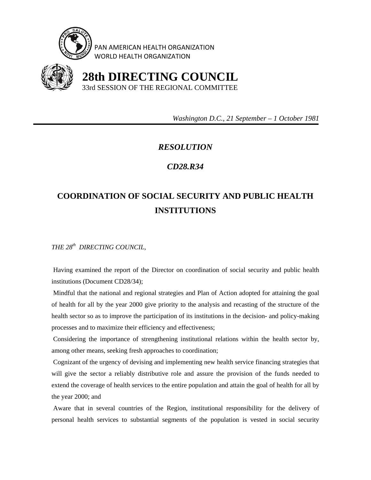

PAN AMERICAN HEALTH ORGANIZATION WORLD HEALTH ORGANIZATION



 **28th DIRECTING COUNCIL** 33rd SESSION OF THE REGIONAL COMMITTEE

 *Washington D.C., 21 September – 1 October 1981* 

## *RESOLUTION*

## *CD28.R34*

## **COORDINATION OF SOCIAL SECURITY AND PUBLIC HEALTH INSTITUTIONS**

*THE 28th DIRECTING COUNCIL,* 

 Having examined the report of the Director on coordination of social security and public health institutions (Document CD28/34);

 Mindful that the national and regional strategies and Plan of Action adopted for attaining the goal of health for all by the year 2000 give priority to the analysis and recasting of the structure of the health sector so as to improve the participation of its institutions in the decision- and policy-making processes and to maximize their efficiency and effectiveness;

 Considering the importance of strengthening institutional relations within the health sector by, among other means, seeking fresh approaches to coordination;

 Cognizant of the urgency of devising and implementing new health service financing strategies that will give the sector a reliably distributive role and assure the provision of the funds needed to extend the coverage of health services to the entire population and attain the goal of health for all by the year 2000; and

 Aware that in several countries of the Region, institutional responsibility for the delivery of personal health services to substantial segments of the population is vested in social security